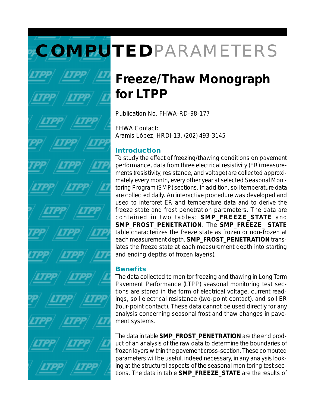# **COMPUTED**PARAMETERS

# **Freeze/Thaw Monograph for LTPP**

Publication No. FHWA-RD-98-177

FHWA Contact: Aramis López, HRDI-13, (202) 493-3145

## **Introduction**

To study the effect of freezing/thawing conditions on pavement performance, data from three electrical resistivity (ER) measurements (resistivity, resistance, and voltage) are collected approximately every month, every other year at selected Seasonal Monitoring Program (SMP) sections. In addition, soil temperature data are collected daily. An interactive procedure was developed and used to interpret ER and temperature data and to derive the freeze state and frost penetration parameters. The data are contained in two tables: **SMP\_FREEZE\_STATE** and **SMP\_FROST\_PENETRATION**. The **SMP\_FREEZE\_ STATE** table characterizes the freeze state as frozen or non-frozen at each measurement depth. **SMP\_FROST\_PENETRATION** translates the freeze state at each measurement depth into starting and ending depths of frozen layer(s).

## **Benefits**

The data collected to monitor freezing and thawing in Long Term Pavement Performance (LTPP) seasonal monitoring test sections are stored in the form of electrical voltage, current readings, soil electrical resistance (two-point contact), and soil ER (four-point contact). These data cannot be used directly for any analysis concerning seasonal frost and thaw changes in pavement systems.

The data in table **SMP\_FROST\_PENETRATION** are the end product of an analysis of the raw data to determine the boundaries of frozen layers within the pavement cross-section. These computed parameters will be useful, indeed necessary, in any analysis looking at the structural aspects of the seasonal monitoring test sections. The data in table **SMP\_FREEZE\_STATE** are the results of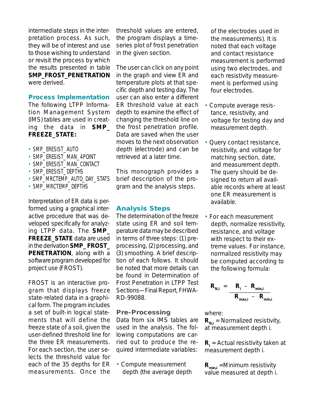intermediate steps in the interpretation process. As such, they will be of interest and use to those wishing to understand or revisit the process by which the results presented in table **SMP\_FROST\_PENETRATION** were derived.

#### **Process Implementation**

The following LTPP Information Management System (IMS) tables are used in creating the data in **SMP\_ FREEZE\_STATE:**

- SMP\_ERESIST\_AUTO
- SMP\_ERESIST\_MAN\_4POINT
- SMP\_ERESIST\_MAN\_CONTACT
- SMP\_ERESIST\_DEPTHS
- SMP\_MRCTEMP\_AUTO\_DAY\_STATS
- SMP\_MRCTEMP\_DEPTHS

Interpretation of ER data is performed using a graphical interactive procedure that was developed specifically for analyzing LTPP data. The **SMP\_ FREEZE\_STATE** data are used in the derivation **SMP\_ FROST\_ PENETRATION**, along with a software program developed for project use (FROST).

FROST is an interactive program that displays freeze state-related data in a graphical form. The program includes a set of built-in logical statements that will define the freeze state of a soil, given the user-defined threshold line for the three ER measurements. For each section, the user selects the threshold value for each of the 35 depths for ER measurements. Once the

threshold values are entered, the program displays a timeseries plot of frost penetration in the given section.

The user can click on any point in the graph and view ER and temperature plots at that specific depth and testing day. The user can also enter a different ER threshold value at each depth to examine the effect of changing the threshold line on the frost penetration profile. Data are saved when the user moves to the next observation depth (electrode) and can be retrieved at a later time.

This monograph provides a brief description of the program and the analysis steps.

#### **Analysis Steps**

The determination of the freeze state using ER and soil temperature data may be described in terms of three steps: (1) preprocessing, (2) processing, and (3) smoothing. A brief description of each follows. It should be noted that more details can be found in *Determination of Frost Penetration in LTPP Test Sections—Final Report*, FHWA-RD-99088.

#### *Pre-Processing*

Data from six IMS tables are used in the analysis. The following computations are carried out to produce the required intermediate variables:

• Compute measurement depth (the average depth of the electrodes used in the measurements). It is noted that each voltage and contact resistance measurement is performed using two electrodes, and each resistivity measurement is performed using four electrodes.

- Compute average resistance, resistivity, and voltage for testing day and measurement depth.
- Query contact resistance, resistivity, and voltage for matching section, date, and measurement depth. The query should be designed to return all available records where at least one ER measurement is available.
- For each measurement depth, normalize resistivity, resistance, and voltage with respect to their extreme values. For instance, normalized resistivity may be computed according to the following formula:

$$
R_{N,i} = \frac{R_i - R_{min,i}}{R_{max,i} - R_{min,i}}
$$

where:

 $R_{N,i}$  = Normalized resistivity, at measurement depth i.

**R**<sub>i</sub> = Actual resistivity taken at measurement depth i.

**Rmin,i** =Minimum resistivity value measured at depth i.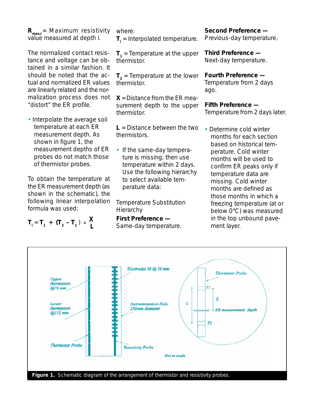**R**<sub>maxi</sub> = Maximum resistivity value measured at depth i.

The normalized contact resistance and voltage can be obtained in a similar fashion. It should be noted that the actual and normalized ER values are linearly related and the normalization process does not "distort" the ER profile.

• Interpolate the average soil temperature at each ER measurement depth. As shown in figure 1, the measurement depths of ER probes do not match those of thermistor probes.

To obtain the temperature at the ER measurement depth (as shown in the schematic), the following linear interpolation formula was used:

$$
T_1 = T_1 + (T_2 - T_1) \cdot \frac{X}{L}
$$

where: **T**<sub>i</sub> = Interpolated temperature.

 $T<sub>1</sub>$  = Temperature at the upper thermistor.

 $T<sub>2</sub>$  = Temperature at the lower thermistor.

**X** = Distance from the ER measurement depth to the upper thermistor.

**L** = Distance between the two thermistors.

• If the same-day temperature is missing, then use temperature within 2 days. Use the following hierarchy to select available temperature data:

*Temperature Substitution Hierarchy*

**First Preference —** Same-day temperature. **Second Preference —** Previous-day temperature.

**Third Preference —** Next-day temperature.

**Fourth Preference —** Temperature from 2 days ago.

**Fifth Preference —** Temperature from 2 days later.

• Determine cold winter months for each section based on historical temperature. Cold winter months will be used to confirm ER peaks only if temperature data are missing. Cold winter months are defined as those months in which a freezing temperature (at or below 0°C) was measured in the top unbound pavement layer.

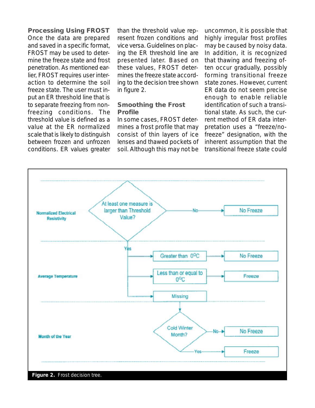*Processing Using FROST* Once the data are prepared and saved in a specific format, FROST may be used to determine the freeze state and frost penetration. As mentioned earlier, FROST requires user interaction to determine the soil freeze state. The user must input an ER threshold line that is to separate freezing from nonfreezing conditions. The threshold value is defined as a value at the ER normalized scale that is likely to distinguish between frozen and unfrozen conditions. ER values greater than the threshold value represent frozen conditions and vice versa. Guidelines on placing the ER threshold line are presented later. Based on these values, FROST determines the freeze state according to the decision tree shown in figure 2.

#### *Smoothing the Frost Profile*

In some cases, FROST determines a frost profile that may consist of thin layers of ice lenses and thawed pockets of soil. Although this may not be

uncommon, it is possible that highly irregular frost profiles may be caused by noisy data. In addition, it is recognized that thawing and freezing often occur gradually, possibly forming transitional freeze state zones. However, current ER data do not seem precise enough to enable reliable identification of such a transitional state. As such, the current method of ER data interpretation uses a "freeze/nofreeze" designation, with the inherent assumption that the transitional freeze state could

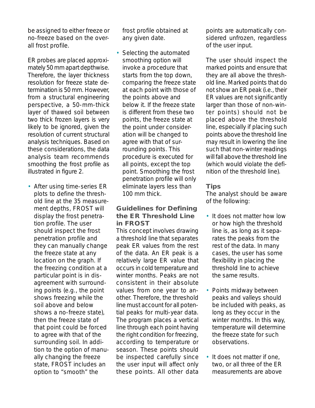be assigned to either freeze or no-freeze based on the overall frost profile.

ER probes are placed approximately 50 mm apart depthwise. Therefore, the layer thickness resolution for freeze state determination is 50 mm. However, from a structural engineering perspective, a 50-mm-thick layer of thawed soil between two thick frozen layers is very likely to be ignored, given the resolution of current structural analysis techniques. Based on these considerations, the data analysis team recommends smoothing the frost profile as illustrated in figure 2.

• After using time-series ER plots to define the threshold line at the 35 measurement depths, FROST will display the frost penetration profile. The user should inspect the frost penetration profile and they can manually change the freeze state at any location on the graph. If the freezing condition at a particular point is in disagreement with surrounding points (e.g., the point shows freezing while the soil above and below shows a no-freeze state), then the freeze state of that point could be forced to agree with that of the surrounding soil. In addition to the option of manually changing the freeze state, FROST includes an option to "smooth" the

frost profile obtained at any given date.

Selecting the automated smoothing option will invoke a procedure that starts from the top down, comparing the freeze state at each point with those of the points above and below it. If the freeze state is different from these two points, the freeze state at the point under consideration will be changed to agree with that of surrounding points. This procedure is executed for all points, except the top point. Smoothing the frost penetration profile will only eliminate layers less than 100 mm thick.

#### *Guidelines for Defining the ER Threshold Line in FROST*

This concept involves drawing a threshold line that separates peak ER values from the rest of the data. An ER peak is a relatively large ER value that occurs in cold temperature and winter months. Peaks are not consistent in their absolute values from one year to another. Therefore, the threshold line must account for all potential peaks for multi-year data. The program places a vertical line through each point having the right condition for freezing, according to temperature or season. These points should be inspected carefully since the user input will affect only these points. All other data

points are automatically considered unfrozen, regardless of the user input.

The user should inspect the marked points and ensure that they are all above the threshold line. Marked points that do not show an ER peak (i.e., their ER values are not significantly larger than those of non-winter points) should not be placed above the threshold line, especially if placing such points above the threshold line may result in lowering the line such that non-winter readings will fall above the threshold line (which would violate the definition of the threshold line).

#### *Tips*

The analyst should be aware of the following:

- It does not matter how low or how high the threshold line is, as long as it separates the peaks from the rest of the data. In many cases, the user has some flexibility in placing the threshold line to achieve the same results.
- Points midway between peaks and valleys should be included with peaks, as long as they occur in the winter months. In this way, temperature will determine the freeze state for such observations.
- It does not matter if one, two, or all three of the ER measurements are above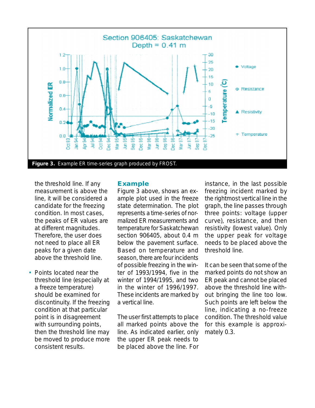

the threshold line. If any measurement is above the line, it will be considered a candidate for the freezing condition. In most cases, the peaks of ER values are at different magnitudes. Therefore, the user does not need to place all ER peaks for a given date above the threshold line.

• Points located near the threshold line (especially at a freeze temperature) should be examined for discontinuity. If the freezing condition at that particular point is in disagreement with surrounding points, then the threshold line may be moved to produce more consistent results.

#### **Example**

Figure 3 above, shows an example plot used in the freeze state determination. The plot represents a time-series of normalized ER measurements and temperature for Saskatchewan section 906405, about 0.4 m below the pavement surface. Based on temperature and season, there are four incidents of possible freezing in the winter of 1993/1994, five in the winter of 1994/1995, and two in the winter of 1996/1997. These incidents are marked by a vertical line.

The user first attempts to place all marked points above the line. As indicated earlier, only the upper ER peak needs to be placed above the line. For

instance, in the last possible freezing incident marked by the rightmost vertical line in the graph, the line passes through three points: voltage (upper curve), resistance, and then resistivity (lowest value). Only the upper peak for voltage needs to be placed above the threshold line.

It can be seen that some of the marked points do not show an ER peak and cannot be placed above the threshold line without bringing the line too low. Such points are left below the line, indicating a no-freeze condition. The threshold value for this example is approximately 0.3.